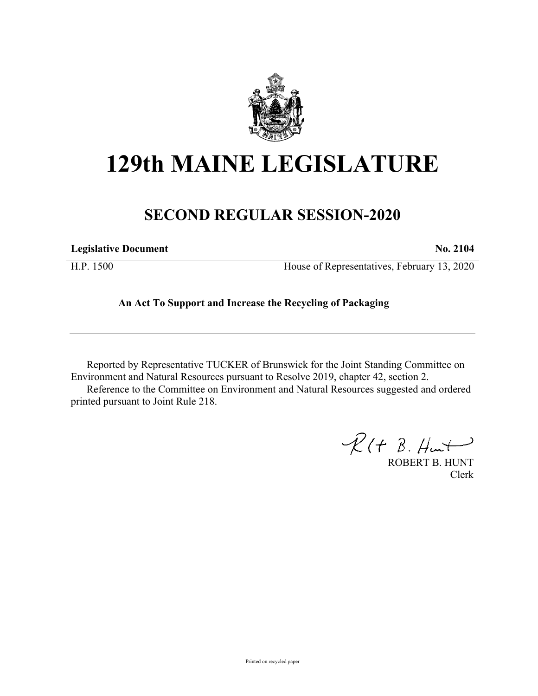

## **129th MAINE LEGISLATURE**

## **SECOND REGULAR SESSION-2020**

| <b>Legislative Document</b> | <b>No. 2104</b>                             |
|-----------------------------|---------------------------------------------|
| H.P. 1500                   | House of Representatives, February 13, 2020 |

## **An Act To Support and Increase the Recycling of Packaging**

Reported by Representative TUCKER of Brunswick for the Joint Standing Committee on Environment and Natural Resources pursuant to Resolve 2019, chapter 42, section 2. Reference to the Committee on Environment and Natural Resources suggested and ordered printed pursuant to Joint Rule 218.

 $R(H B. H<sup>u</sup>)$ 

ROBERT B. HUNT Clerk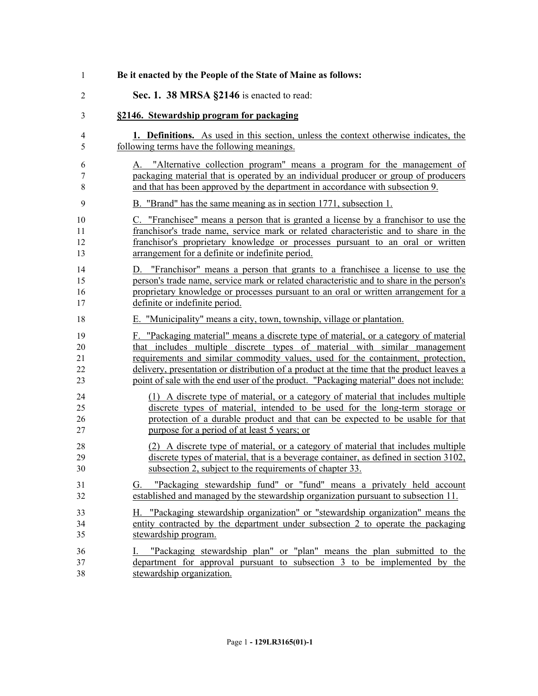| 1                          | Be it enacted by the People of the State of Maine as follows:                                                                                                                                                                                                                                                                                                                                                                                |
|----------------------------|----------------------------------------------------------------------------------------------------------------------------------------------------------------------------------------------------------------------------------------------------------------------------------------------------------------------------------------------------------------------------------------------------------------------------------------------|
| $\overline{2}$             | Sec. 1. 38 MRSA §2146 is enacted to read:                                                                                                                                                                                                                                                                                                                                                                                                    |
| 3                          | §2146. Stewardship program for packaging                                                                                                                                                                                                                                                                                                                                                                                                     |
| 4<br>5                     | <b>1. Definitions.</b> As used in this section, unless the context otherwise indicates, the<br>following terms have the following meanings.                                                                                                                                                                                                                                                                                                  |
| 6<br>$\tau$<br>8           | A. "Alternative collection program" means a program for the management of<br>packaging material that is operated by an individual producer or group of producers<br>and that has been approved by the department in accordance with subsection 9.                                                                                                                                                                                            |
| 9                          | B. "Brand" has the same meaning as in section 1771, subsection 1.                                                                                                                                                                                                                                                                                                                                                                            |
| 10<br>11<br>12<br>13       | C. "Franchisee" means a person that is granted a license by a franchisor to use the<br>franchisor's trade name, service mark or related characteristic and to share in the<br>franchisor's proprietary knowledge or processes pursuant to an oral or written<br>arrangement for a definite or indefinite period.                                                                                                                             |
| 14<br>15<br>16<br>17       | "Franchisor" means a person that grants to a franchisee a license to use the<br>D.<br>person's trade name, service mark or related characteristic and to share in the person's<br>proprietary knowledge or processes pursuant to an oral or written arrangement for a<br>definite or indefinite period.                                                                                                                                      |
| 18                         | E. "Municipality" means a city, town, township, village or plantation.                                                                                                                                                                                                                                                                                                                                                                       |
| 19<br>20<br>21<br>22<br>23 | F. "Packaging material" means a discrete type of material, or a category of material<br>that includes multiple discrete types of material with similar management<br>requirements and similar commodity values, used for the containment, protection,<br>delivery, presentation or distribution of a product at the time that the product leaves a<br>point of sale with the end user of the product. "Packaging material" does not include: |
| 24<br>25<br>26<br>27       | (1) A discrete type of material, or a category of material that includes multiple<br>discrete types of material, intended to be used for the long-term storage or<br>protection of a durable product and that can be expected to be usable for that<br>purpose for a period of at least 5 years; or                                                                                                                                          |
| 28<br>29<br>30             | (2) A discrete type of material, or a category of material that includes multiple<br>discrete types of material, that is a beverage container, as defined in section 3102,<br>subsection 2, subject to the requirements of chapter 33.                                                                                                                                                                                                       |
| 31<br>32                   | "Packaging stewardship fund" or "fund" means a privately held account<br>G.<br>established and managed by the stewardship organization pursuant to subsection 11.                                                                                                                                                                                                                                                                            |
| 33<br>34<br>35             | H. "Packaging stewardship organization" or "stewardship organization" means the<br>entity contracted by the department under subsection 2 to operate the packaging<br>stewardship program.                                                                                                                                                                                                                                                   |
| 36<br>37<br>38             | "Packaging stewardship plan" or "plan" means the plan submitted to the<br>L.<br>department for approval pursuant to subsection 3 to be implemented by the<br>stewardship organization.                                                                                                                                                                                                                                                       |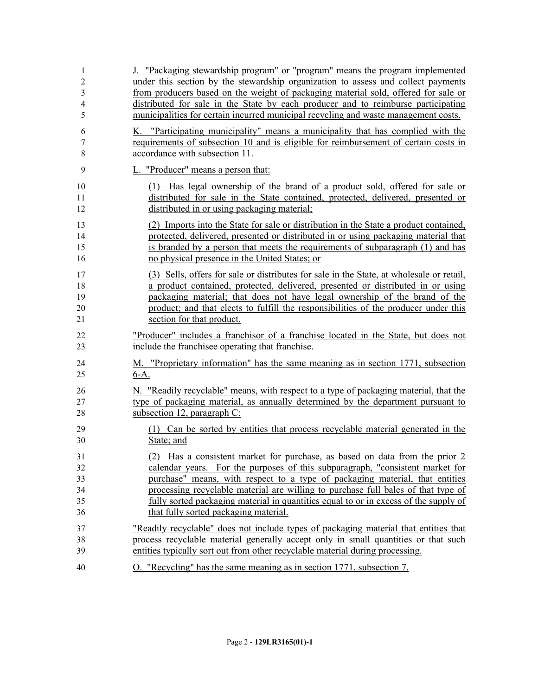| 1              | J. "Packaging stewardship program" or "program" means the program implemented            |
|----------------|------------------------------------------------------------------------------------------|
| $\overline{c}$ | under this section by the stewardship organization to assess and collect payments        |
| 3              | from producers based on the weight of packaging material sold, offered for sale or       |
| 4              | distributed for sale in the State by each producer and to reimburse participating        |
| 5              | municipalities for certain incurred municipal recycling and waste management costs.      |
| 6              | K. "Participating municipality" means a municipality that has complied with the          |
| 7              | requirements of subsection 10 and is eligible for reimbursement of certain costs in      |
| $\,$ 8 $\,$    | accordance with subsection 11.                                                           |
| 9              | L. "Producer" means a person that:                                                       |
| 10             | (1) Has legal ownership of the brand of a product sold, offered for sale or              |
| 11             | distributed for sale in the State contained, protected, delivered, presented or          |
| 12             | distributed in or using packaging material;                                              |
| 13             | (2) Imports into the State for sale or distribution in the State a product contained,    |
| 14             | protected, delivered, presented or distributed in or using packaging material that       |
| 15             | is branded by a person that meets the requirements of subparagraph (1) and has           |
| 16             | no physical presence in the United States; or                                            |
| 17             | (3) Sells, offers for sale or distributes for sale in the State, at wholesale or retail, |
| 18             | a product contained, protected, delivered, presented or distributed in or using          |
| 19             | packaging material; that does not have legal ownership of the brand of the               |
| 20             | product; and that elects to fulfill the responsibilities of the producer under this      |
| 21             | section for that product.                                                                |
| 22             | "Producer" includes a franchisor of a franchise located in the State, but does not       |
| 23             | include the franchise operating that franchise.                                          |
| 24             | M. "Proprietary information" has the same meaning as in section 1771, subsection         |
| 25             | $6-A$ .                                                                                  |
| 26             | N. "Readily recyclable" means, with respect to a type of packaging material, that the    |
| 27             | type of packaging material, as annually determined by the department pursuant to         |
| 28             | subsection 12, paragraph C:                                                              |
| 29             | (1) Can be sorted by entities that process recyclable material generated in the          |
| 30             | State; and                                                                               |
| 31             | (2) Has a consistent market for purchase, as based on data from the prior 2              |
| 32             | calendar years. For the purposes of this subparagraph, "consistent market for            |
| 33             | purchase" means, with respect to a type of packaging material, that entities             |
| 34             | processing recyclable material are willing to purchase full bales of that type of        |
| 35             | fully sorted packaging material in quantities equal to or in excess of the supply of     |
| 36             | that fully sorted packaging material.                                                    |
| 37             | "Readily recyclable" does not include types of packaging material that entities that     |
| 38             | process recyclable material generally accept only in small quantities or that such       |
| 39             | entities typically sort out from other recyclable material during processing.            |
| 40             | O. "Recycling" has the same meaning as in section 1771, subsection 7.                    |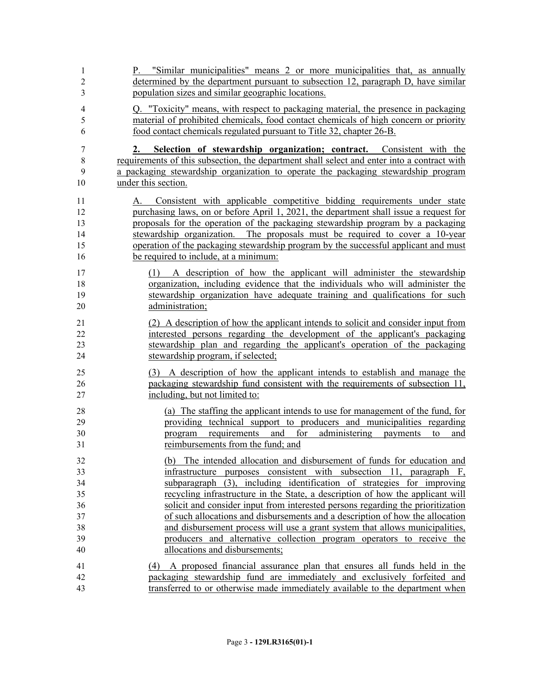| 1                   | P. "Similar municipalities" means 2 or more municipalities that, as annually                                                            |
|---------------------|-----------------------------------------------------------------------------------------------------------------------------------------|
| $\overline{2}$<br>3 | determined by the department pursuant to subsection 12, paragraph D, have similar<br>population sizes and similar geographic locations. |
| 4                   | Q. "Toxicity" means, with respect to packaging material, the presence in packaging                                                      |
| 5                   | material of prohibited chemicals, food contact chemicals of high concern or priority                                                    |
| 6                   | food contact chemicals regulated pursuant to Title 32, chapter 26-B.                                                                    |
| 7                   | Selection of stewardship organization; contract. Consistent with the<br>2.                                                              |
| 8                   | requirements of this subsection, the department shall select and enter into a contract with                                             |
| 9                   | a packaging stewardship organization to operate the packaging stewardship program                                                       |
| 10                  | under this section.                                                                                                                     |
| 11                  | A. Consistent with applicable competitive bidding requirements under state                                                              |
| 12                  | purchasing laws, on or before April 1, 2021, the department shall issue a request for                                                   |
| 13                  | proposals for the operation of the packaging stewardship program by a packaging                                                         |
| 14                  | stewardship organization. The proposals must be required to cover a 10-year                                                             |
| 15                  | operation of the packaging stewardship program by the successful applicant and must                                                     |
| 16                  | be required to include, at a minimum:                                                                                                   |
| 17                  | (1) A description of how the applicant will administer the stewardship                                                                  |
| 18                  | organization, including evidence that the individuals who will administer the                                                           |
| 19                  | stewardship organization have adequate training and qualifications for such                                                             |
| 20                  | administration;                                                                                                                         |
| 21                  | (2) A description of how the applicant intends to solicit and consider input from                                                       |
| 22                  | interested persons regarding the development of the applicant's packaging                                                               |
| 23                  | stewardship plan and regarding the applicant's operation of the packaging                                                               |
| 24                  | stewardship program, if selected;                                                                                                       |
| 25                  | (3) A description of how the applicant intends to establish and manage the                                                              |
| 26                  | packaging stewardship fund consistent with the requirements of subsection 11,                                                           |
| 27                  | including, but not limited to:                                                                                                          |
| 28                  | (a) The staffing the applicant intends to use for management of the fund, for                                                           |
| 29                  | providing technical support to producers and municipalities regarding                                                                   |
| 30                  | and for<br>administering<br>requirements<br>payments<br>program<br>to<br>and                                                            |
| 31                  | reimbursements from the fund; and                                                                                                       |
| 32                  | (b) The intended allocation and disbursement of funds for education and                                                                 |
| 33                  | infrastructure purposes consistent with subsection 11, paragraph F,                                                                     |
| 34                  | subparagraph (3), including identification of strategies for improving                                                                  |
| 35                  | recycling infrastructure in the State, a description of how the applicant will                                                          |
| 36                  | solicit and consider input from interested persons regarding the prioritization                                                         |
| 37                  | of such allocations and disbursements and a description of how the allocation                                                           |
| 38                  | and disbursement process will use a grant system that allows municipalities,                                                            |
| 39                  | producers and alternative collection program operators to receive the                                                                   |
| 40                  | allocations and disbursements;                                                                                                          |
| 41                  | A proposed financial assurance plan that ensures all funds held in the<br>(4)                                                           |
| 42                  | packaging stewardship fund are immediately and exclusively forfeited and                                                                |
| 43                  | transferred to or otherwise made immediately available to the department when                                                           |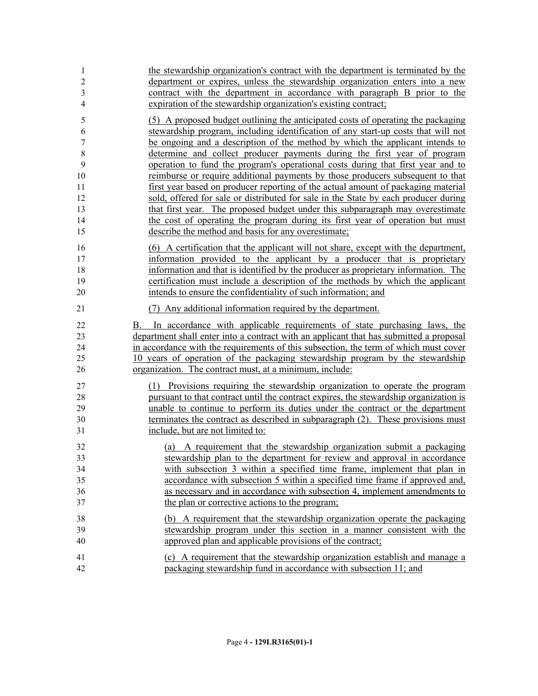| 1                          | the stewardship organization's contract with the department is terminated by the                                                                                                                                                                                                                                                                                                                             |
|----------------------------|--------------------------------------------------------------------------------------------------------------------------------------------------------------------------------------------------------------------------------------------------------------------------------------------------------------------------------------------------------------------------------------------------------------|
| $\overline{c}$             | department or expires, unless the stewardship organization enters into a new                                                                                                                                                                                                                                                                                                                                 |
| $\mathfrak{Z}$             | contract with the department in accordance with paragraph B prior to the                                                                                                                                                                                                                                                                                                                                     |
| $\overline{4}$             | expiration of the stewardship organization's existing contract;                                                                                                                                                                                                                                                                                                                                              |
| 5                          | (5) A proposed budget outlining the anticipated costs of operating the packaging                                                                                                                                                                                                                                                                                                                             |
| 6                          | stewardship program, including identification of any start-up costs that will not                                                                                                                                                                                                                                                                                                                            |
| $\boldsymbol{7}$           | be ongoing and a description of the method by which the applicant intends to                                                                                                                                                                                                                                                                                                                                 |
| $\,8\,$                    | determine and collect producer payments during the first year of program                                                                                                                                                                                                                                                                                                                                     |
| 9                          | operation to fund the program's operational costs during that first year and to                                                                                                                                                                                                                                                                                                                              |
| 10                         | reimburse or require additional payments by those producers subsequent to that                                                                                                                                                                                                                                                                                                                               |
| 11                         | first year based on producer reporting of the actual amount of packaging material                                                                                                                                                                                                                                                                                                                            |
| 12                         | sold, offered for sale or distributed for sale in the State by each producer during                                                                                                                                                                                                                                                                                                                          |
| 13                         | that first year. The proposed budget under this subparagraph may overestimate                                                                                                                                                                                                                                                                                                                                |
| 14                         | the cost of operating the program during its first year of operation but must                                                                                                                                                                                                                                                                                                                                |
| 15                         | describe the method and basis for any overestimate;                                                                                                                                                                                                                                                                                                                                                          |
| 16                         | (6) A certification that the applicant will not share, except with the department,                                                                                                                                                                                                                                                                                                                           |
| 17                         | information provided to the applicant by a producer that is proprietary                                                                                                                                                                                                                                                                                                                                      |
| 18                         | information and that is identified by the producer as proprietary information. The                                                                                                                                                                                                                                                                                                                           |
| 19                         | certification must include a description of the methods by which the applicant                                                                                                                                                                                                                                                                                                                               |
| 20                         | intends to ensure the confidentiality of such information; and                                                                                                                                                                                                                                                                                                                                               |
| 21                         | (7) Any additional information required by the department.                                                                                                                                                                                                                                                                                                                                                   |
| 22<br>23<br>24<br>25<br>26 | In accordance with applicable requirements of state purchasing laws, the<br>В.<br>department shall enter into a contract with an applicant that has submitted a proposal<br>in accordance with the requirements of this subsection, the term of which must cover<br>10 years of operation of the packaging stewardship program by the stewardship<br>organization. The contract must, at a minimum, include: |
| 27                         | (1) Provisions requiring the stewardship organization to operate the program                                                                                                                                                                                                                                                                                                                                 |
| 28                         | pursuant to that contract until the contract expires, the stewardship organization is                                                                                                                                                                                                                                                                                                                        |
| 29                         | unable to continue to perform its duties under the contract or the department                                                                                                                                                                                                                                                                                                                                |
| 30                         | terminates the contract as described in subparagraph (2). These provisions must                                                                                                                                                                                                                                                                                                                              |
| 31                         | include, but are not limited to:                                                                                                                                                                                                                                                                                                                                                                             |
| 32                         | (a) A requirement that the stewardship organization submit a packaging                                                                                                                                                                                                                                                                                                                                       |
| 33                         | stewardship plan to the department for review and approval in accordance                                                                                                                                                                                                                                                                                                                                     |
| 34                         | with subsection 3 within a specified time frame, implement that plan in                                                                                                                                                                                                                                                                                                                                      |
| 35                         | accordance with subsection 5 within a specified time frame if approved and,                                                                                                                                                                                                                                                                                                                                  |
| 36                         | as necessary and in accordance with subsection 4, implement amendments to                                                                                                                                                                                                                                                                                                                                    |
| 37                         | the plan or corrective actions to the program;                                                                                                                                                                                                                                                                                                                                                               |
| 38                         | (b) A requirement that the stewardship organization operate the packaging                                                                                                                                                                                                                                                                                                                                    |
| 39                         | stewardship program under this section in a manner consistent with the                                                                                                                                                                                                                                                                                                                                       |
| 40                         | approved plan and applicable provisions of the contract;                                                                                                                                                                                                                                                                                                                                                     |
| 41                         | (c) A requirement that the stewardship organization establish and manage a                                                                                                                                                                                                                                                                                                                                   |
| 42                         | packaging stewardship fund in accordance with subsection 11; and                                                                                                                                                                                                                                                                                                                                             |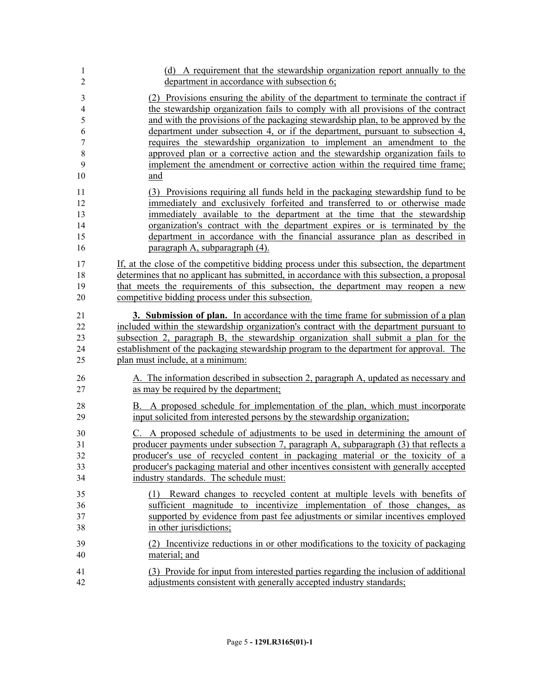| 1                | (d) A requirement that the stewardship organization report annually to the                 |
|------------------|--------------------------------------------------------------------------------------------|
| $\overline{2}$   | department in accordance with subsection 6;                                                |
| $\mathfrak{Z}$   | (2) Provisions ensuring the ability of the department to terminate the contract if         |
| $\overline{4}$   | the stewardship organization fails to comply with all provisions of the contract           |
| 5                | and with the provisions of the packaging stewardship plan, to be approved by the           |
| 6                | department under subsection 4, or if the department, pursuant to subsection 4,             |
| $\boldsymbol{7}$ | requires the stewardship organization to implement an amendment to the                     |
| 8                | approved plan or a corrective action and the stewardship organization fails to             |
| 9                | implement the amendment or corrective action within the required time frame;               |
| 10               | and                                                                                        |
| 11               | (3) Provisions requiring all funds held in the packaging stewardship fund to be            |
| 12               | immediately and exclusively forfeited and transferred to or otherwise made                 |
| 13               | immediately available to the department at the time that the stewardship                   |
| 14               | organization's contract with the department expires or is terminated by the                |
| 15               | department in accordance with the financial assurance plan as described in                 |
| 16               | paragraph A, subparagraph (4).                                                             |
| 17               | If, at the close of the competitive bidding process under this subsection, the department  |
| 18               | determines that no applicant has submitted, in accordance with this subsection, a proposal |
| 19               | that meets the requirements of this subsection, the department may reopen a new            |
| 20               | competitive bidding process under this subsection.                                         |
| 21               | 3. Submission of plan. In accordance with the time frame for submission of a plan          |
| 22               | included within the stewardship organization's contract with the department pursuant to    |
| 23               | subsection 2, paragraph B, the stewardship organization shall submit a plan for the        |
| 24               | establishment of the packaging stewardship program to the department for approval. The     |
| 25               | plan must include, at a minimum:                                                           |
| 26               | A. The information described in subsection 2, paragraph A, updated as necessary and        |
| 27               | as may be required by the department;                                                      |
| 28               | B. A proposed schedule for implementation of the plan, which must incorporate              |
| 29               | input solicited from interested persons by the stewardship organization;                   |
| 30               | C. A proposed schedule of adjustments to be used in determining the amount of              |
| 31               | producer payments under subsection 7, paragraph A, subparagraph (3) that reflects a        |
| 32               | producer's use of recycled content in packaging material or the toxicity of a              |
| 33               | producer's packaging material and other incentives consistent with generally accepted      |
| 34               | industry standards. The schedule must:                                                     |
| 35               | (1) Reward changes to recycled content at multiple levels with benefits of                 |
| 36               | sufficient magnitude to incentivize implementation of those changes, as                    |
| 37               | supported by evidence from past fee adjustments or similar incentives employed             |
| 38               | in other jurisdictions;                                                                    |
| 39               | (2) Incentivize reductions in or other modifications to the toxicity of packaging          |
| 40               | material; and                                                                              |
| 41               | (3) Provide for input from interested parties regarding the inclusion of additional        |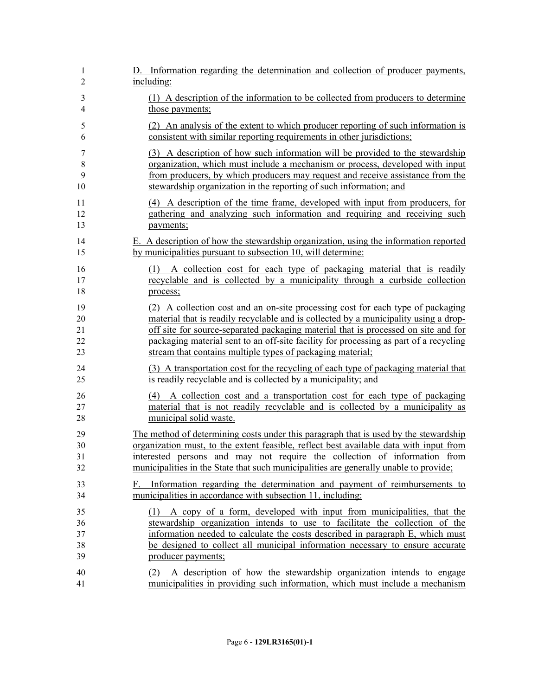| 1                          | D. Information regarding the determination and collection of producer payments,                                                                                                                                                                                                                                                                     |
|----------------------------|-----------------------------------------------------------------------------------------------------------------------------------------------------------------------------------------------------------------------------------------------------------------------------------------------------------------------------------------------------|
| $\overline{2}$             | including:                                                                                                                                                                                                                                                                                                                                          |
| 3                          | (1) A description of the information to be collected from producers to determine                                                                                                                                                                                                                                                                    |
| 4                          | those payments;                                                                                                                                                                                                                                                                                                                                     |
| 5                          | (2) An analysis of the extent to which producer reporting of such information is                                                                                                                                                                                                                                                                    |
| 6                          | consistent with similar reporting requirements in other jurisdictions;                                                                                                                                                                                                                                                                              |
| 7                          | (3) A description of how such information will be provided to the stewardship                                                                                                                                                                                                                                                                       |
| 8                          | organization, which must include a mechanism or process, developed with input                                                                                                                                                                                                                                                                       |
| 9                          | from producers, by which producers may request and receive assistance from the                                                                                                                                                                                                                                                                      |
| 10                         | stewardship organization in the reporting of such information; and                                                                                                                                                                                                                                                                                  |
| 11                         | (4) A description of the time frame, developed with input from producers, for                                                                                                                                                                                                                                                                       |
| 12                         | gathering and analyzing such information and requiring and receiving such                                                                                                                                                                                                                                                                           |
| 13                         | payments;                                                                                                                                                                                                                                                                                                                                           |
| 14                         | E. A description of how the stewardship organization, using the information reported                                                                                                                                                                                                                                                                |
| 15                         | by municipalities pursuant to subsection 10, will determine:                                                                                                                                                                                                                                                                                        |
| 16                         | (1) A collection cost for each type of packaging material that is readily                                                                                                                                                                                                                                                                           |
| 17                         | recyclable and is collected by a municipality through a curbside collection                                                                                                                                                                                                                                                                         |
| 18                         | process;                                                                                                                                                                                                                                                                                                                                            |
| 19                         | (2) A collection cost and an on-site processing cost for each type of packaging                                                                                                                                                                                                                                                                     |
| 20                         | material that is readily recyclable and is collected by a municipality using a drop-                                                                                                                                                                                                                                                                |
| 21                         | off site for source-separated packaging material that is processed on site and for                                                                                                                                                                                                                                                                  |
| 22                         | packaging material sent to an off-site facility for processing as part of a recycling                                                                                                                                                                                                                                                               |
| 23                         | stream that contains multiple types of packaging material;                                                                                                                                                                                                                                                                                          |
| 24                         | (3) A transportation cost for the recycling of each type of packaging material that                                                                                                                                                                                                                                                                 |
| 25                         | is readily recyclable and is collected by a municipality; and                                                                                                                                                                                                                                                                                       |
| 26                         | (4) A collection cost and a transportation cost for each type of packaging                                                                                                                                                                                                                                                                          |
| 27                         | material that is not readily recyclable and is collected by a municipality as                                                                                                                                                                                                                                                                       |
| 28                         | municipal solid waste.                                                                                                                                                                                                                                                                                                                              |
| 29                         | The method of determining costs under this paragraph that is used by the stewardship                                                                                                                                                                                                                                                                |
| 30                         | organization must, to the extent feasible, reflect best available data with input from                                                                                                                                                                                                                                                              |
| 31                         | interested persons and may not require the collection of information from                                                                                                                                                                                                                                                                           |
| 32                         | municipalities in the State that such municipalities are generally unable to provide;                                                                                                                                                                                                                                                               |
| 33<br>34                   | Information regarding the determination and payment of reimbursements to<br>F. .<br>municipalities in accordance with subsection 11, including:                                                                                                                                                                                                     |
| 35<br>36<br>37<br>38<br>39 | A copy of a form, developed with input from municipalities, that the<br>(1)<br>stewardship organization intends to use to facilitate the collection of the<br>information needed to calculate the costs described in paragraph E, which must<br>be designed to collect all municipal information necessary to ensure accurate<br>producer payments; |
| 40                         | (2) A description of how the stewardship organization intends to engage                                                                                                                                                                                                                                                                             |
| 41                         | municipalities in providing such information, which must include a mechanism                                                                                                                                                                                                                                                                        |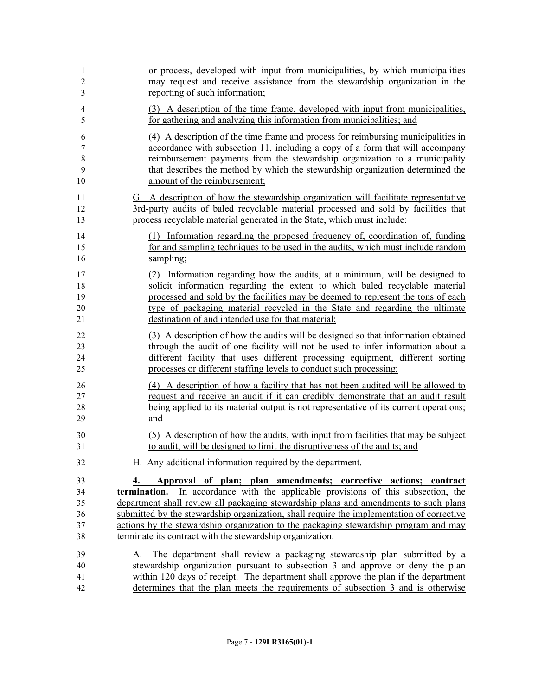| $\mathbf{1}$   | or process, developed with input from municipalities, by which municipalities             |
|----------------|-------------------------------------------------------------------------------------------|
| $\overline{c}$ | may request and receive assistance from the stewardship organization in the               |
| 3              | reporting of such information;                                                            |
| 4              | (3) A description of the time frame, developed with input from municipalities,            |
| 5              | for gathering and analyzing this information from municipalities; and                     |
| 6              | (4) A description of the time frame and process for reimbursing municipalities in         |
| 7              | accordance with subsection 11, including a copy of a form that will accompany             |
| 8              | reimbursement payments from the stewardship organization to a municipality                |
| 9              | that describes the method by which the stewardship organization determined the            |
| 10             | amount of the reimbursement;                                                              |
| 11             | G. A description of how the stewardship organization will facilitate representative       |
| 12             | 3rd-party audits of baled recyclable material processed and sold by facilities that       |
| 13             | process recyclable material generated in the State, which must include:                   |
| 14             | (1) Information regarding the proposed frequency of, coordination of, funding             |
| 15             | for and sampling techniques to be used in the audits, which must include random           |
| 16             | sampling;                                                                                 |
| 17             | (2) Information regarding how the audits, at a minimum, will be designed to               |
| 18             | solicit information regarding the extent to which baled recyclable material               |
| 19             | processed and sold by the facilities may be deemed to represent the tons of each          |
| 20             | type of packaging material recycled in the State and regarding the ultimate               |
| 21             | destination of and intended use for that material;                                        |
| 22             | (3) A description of how the audits will be designed so that information obtained         |
| 23             | through the audit of one facility will not be used to infer information about a           |
| 24             | different facility that uses different processing equipment, different sorting            |
| 25             | processes or different staffing levels to conduct such processing;                        |
| 26             | (4) A description of how a facility that has not been audited will be allowed to          |
| 27             | request and receive an audit if it can credibly demonstrate that an audit result          |
| 28             | being applied to its material output is not representative of its current operations;     |
| 29             | and                                                                                       |
| 30             | (5) A description of how the audits, with input from facilities that may be subject       |
| 31             | to audit, will be designed to limit the disruptiveness of the audits; and                 |
| 32             | H. Any additional information required by the department.                                 |
| 33             | Approval of plan; plan amendments; corrective actions; contract                           |
| 34             | termination. In accordance with the applicable provisions of this subsection, the         |
| 35             | department shall review all packaging stewardship plans and amendments to such plans      |
| 36             | submitted by the stewardship organization, shall require the implementation of corrective |
| 37             | actions by the stewardship organization to the packaging stewardship program and may      |
| 38             | terminate its contract with the stewardship organization.                                 |
| 39             | A. The department shall review a packaging stewardship plan submitted by a                |
| 40             | stewardship organization pursuant to subsection 3 and approve or deny the plan            |
| 41             | within 120 days of receipt. The department shall approve the plan if the department       |
| 42             | determines that the plan meets the requirements of subsection 3 and is otherwise          |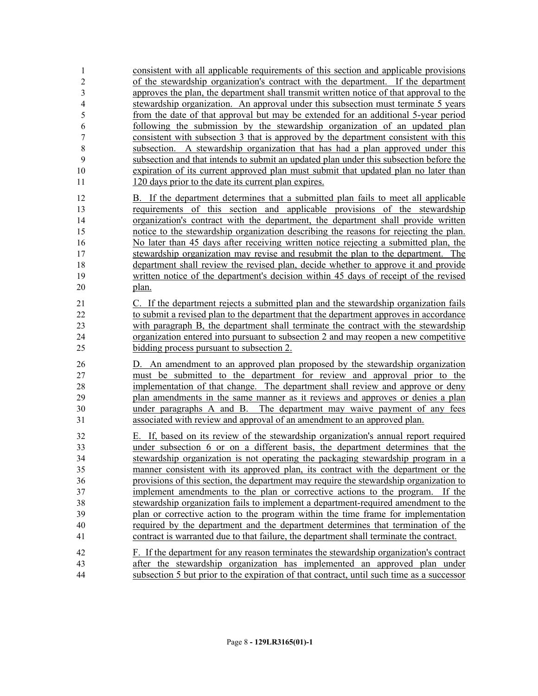| 1                | consistent with all applicable requirements of this section and applicable provisions     |
|------------------|-------------------------------------------------------------------------------------------|
| $\overline{c}$   | of the stewardship organization's contract with the department. If the department         |
| $\overline{3}$   | approves the plan, the department shall transmit written notice of that approval to the   |
| 4                | stewardship organization. An approval under this subsection must terminate 5 years        |
| 5                | from the date of that approval but may be extended for an additional 5-year period        |
| 6                | following the submission by the stewardship organization of an updated plan               |
| $\boldsymbol{7}$ | consistent with subsection 3 that is approved by the department consistent with this      |
| 8                | subsection. A stewardship organization that has had a plan approved under this            |
| 9                | subsection and that intends to submit an updated plan under this subsection before the    |
| 10               | expiration of its current approved plan must submit that updated plan no later than       |
| 11               | 120 days prior to the date its current plan expires.                                      |
|                  |                                                                                           |
| 12               | B. If the department determines that a submitted plan fails to meet all applicable        |
| 13               | requirements of this section and applicable provisions of the stewardship                 |
| 14               | organization's contract with the department, the department shall provide written         |
| 15               | notice to the stewardship organization describing the reasons for rejecting the plan.     |
| 16               | No later than 45 days after receiving written notice rejecting a submitted plan, the      |
| 17               | stewardship organization may revise and resubmit the plan to the department. The          |
| 18               | department shall review the revised plan, decide whether to approve it and provide        |
| 19               | written notice of the department's decision within 45 days of receipt of the revised      |
| 20               | plan.                                                                                     |
| 21               | C. If the department rejects a submitted plan and the stewardship organization fails      |
| 22               | to submit a revised plan to the department that the department approves in accordance     |
| 23               | with paragraph B, the department shall terminate the contract with the stewardship        |
| 24               | organization entered into pursuant to subsection 2 and may reopen a new competitive       |
| 25               | bidding process pursuant to subsection 2.                                                 |
| 26               | D. An amendment to an approved plan proposed by the stewardship organization              |
| 27               | must be submitted to the department for review and approval prior to the                  |
| 28               | implementation of that change. The department shall review and approve or deny            |
| 29               | plan amendments in the same manner as it reviews and approves or denies a plan            |
|                  |                                                                                           |
| 30               | under paragraphs A and B. The department may waive payment of any fees                    |
| 31               | associated with review and approval of an amendment to an approved plan.                  |
| 32               | E. If, based on its review of the stewardship organization's annual report required       |
| 33               | under subsection 6 or on a different basis, the department determines that the            |
| 34               | stewardship organization is not operating the packaging stewardship program in a          |
| 35               | manner consistent with its approved plan, its contract with the department or the         |
| 36               | provisions of this section, the department may require the stewardship organization to    |
| 37               | implement amendments to the plan or corrective actions to the program. If the             |
| 38               | stewardship organization fails to implement a department-required amendment to the        |
| 39               | plan or corrective action to the program within the time frame for implementation         |
| 40               | required by the department and the department determines that termination of the          |
| 41               | contract is warranted due to that failure, the department shall terminate the contract.   |
| 42               | F. If the department for any reason terminates the stewardship organization's contract    |
| 43               | after the stewardship organization has implemented an approved plan under                 |
| 44               | subsection 5 but prior to the expiration of that contract, until such time as a successor |
|                  |                                                                                           |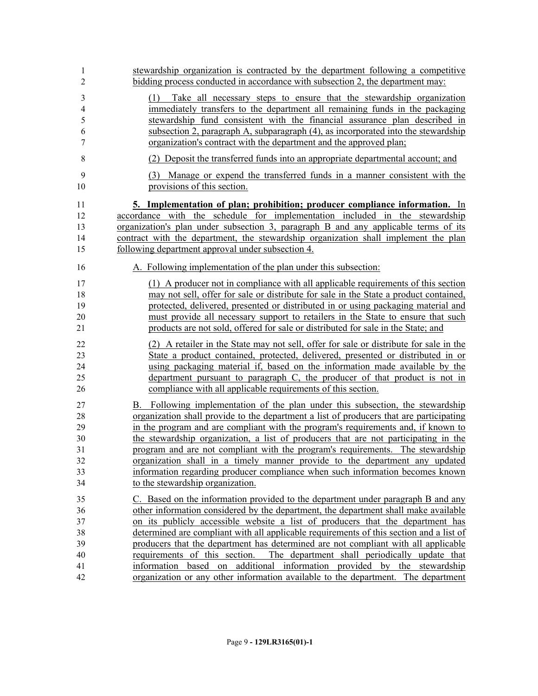| 1                                                            | stewardship organization is contracted by the department following a competitive                                                                                                                                                                                                                                                                                                                                                                                                                                                                                                                                                                                                                |
|--------------------------------------------------------------|-------------------------------------------------------------------------------------------------------------------------------------------------------------------------------------------------------------------------------------------------------------------------------------------------------------------------------------------------------------------------------------------------------------------------------------------------------------------------------------------------------------------------------------------------------------------------------------------------------------------------------------------------------------------------------------------------|
| $\overline{2}$                                               | bidding process conducted in accordance with subsection 2, the department may:                                                                                                                                                                                                                                                                                                                                                                                                                                                                                                                                                                                                                  |
| $\mathfrak{Z}$<br>$\overline{4}$<br>5<br>6<br>$\overline{7}$ | Take all necessary steps to ensure that the stewardship organization<br>(1)<br>immediately transfers to the department all remaining funds in the packaging<br>stewardship fund consistent with the financial assurance plan described in<br>subsection 2, paragraph A, subparagraph (4), as incorporated into the stewardship<br>organization's contract with the department and the approved plan;                                                                                                                                                                                                                                                                                            |
| 8                                                            | (2) Deposit the transferred funds into an appropriate departmental account; and                                                                                                                                                                                                                                                                                                                                                                                                                                                                                                                                                                                                                 |
| 9                                                            | (3) Manage or expend the transferred funds in a manner consistent with the                                                                                                                                                                                                                                                                                                                                                                                                                                                                                                                                                                                                                      |
| 10                                                           | provisions of this section.                                                                                                                                                                                                                                                                                                                                                                                                                                                                                                                                                                                                                                                                     |
| 11                                                           | <u>5. Implementation of plan; prohibition; producer compliance information. In</u>                                                                                                                                                                                                                                                                                                                                                                                                                                                                                                                                                                                                              |
| 12                                                           | accordance with the schedule for implementation included in the stewardship                                                                                                                                                                                                                                                                                                                                                                                                                                                                                                                                                                                                                     |
| 13                                                           | organization's plan under subsection 3, paragraph B and any applicable terms of its                                                                                                                                                                                                                                                                                                                                                                                                                                                                                                                                                                                                             |
| 14                                                           | contract with the department, the stewardship organization shall implement the plan                                                                                                                                                                                                                                                                                                                                                                                                                                                                                                                                                                                                             |
| 15                                                           | following department approval under subsection 4.                                                                                                                                                                                                                                                                                                                                                                                                                                                                                                                                                                                                                                               |
| 16                                                           | A. Following implementation of the plan under this subsection:                                                                                                                                                                                                                                                                                                                                                                                                                                                                                                                                                                                                                                  |
| 17                                                           | (1) A producer not in compliance with all applicable requirements of this section                                                                                                                                                                                                                                                                                                                                                                                                                                                                                                                                                                                                               |
| 18                                                           | may not sell, offer for sale or distribute for sale in the State a product contained,                                                                                                                                                                                                                                                                                                                                                                                                                                                                                                                                                                                                           |
| 19                                                           | protected, delivered, presented or distributed in or using packaging material and                                                                                                                                                                                                                                                                                                                                                                                                                                                                                                                                                                                                               |
| 20                                                           | must provide all necessary support to retailers in the State to ensure that such                                                                                                                                                                                                                                                                                                                                                                                                                                                                                                                                                                                                                |
| 21                                                           | products are not sold, offered for sale or distributed for sale in the State; and                                                                                                                                                                                                                                                                                                                                                                                                                                                                                                                                                                                                               |
| 22                                                           | (2) A retailer in the State may not sell, offer for sale or distribute for sale in the                                                                                                                                                                                                                                                                                                                                                                                                                                                                                                                                                                                                          |
| 23                                                           | State a product contained, protected, delivered, presented or distributed in or                                                                                                                                                                                                                                                                                                                                                                                                                                                                                                                                                                                                                 |
| 24                                                           | using packaging material if, based on the information made available by the                                                                                                                                                                                                                                                                                                                                                                                                                                                                                                                                                                                                                     |
| 25                                                           | department pursuant to paragraph C, the producer of that product is not in                                                                                                                                                                                                                                                                                                                                                                                                                                                                                                                                                                                                                      |
| 26                                                           | compliance with all applicable requirements of this section.                                                                                                                                                                                                                                                                                                                                                                                                                                                                                                                                                                                                                                    |
| 27                                                           | B. Following implementation of the plan under this subsection, the stewardship                                                                                                                                                                                                                                                                                                                                                                                                                                                                                                                                                                                                                  |
| 28                                                           | organization shall provide to the department a list of producers that are participating                                                                                                                                                                                                                                                                                                                                                                                                                                                                                                                                                                                                         |
| 29                                                           | in the program and are compliant with the program's requirements and, if known to                                                                                                                                                                                                                                                                                                                                                                                                                                                                                                                                                                                                               |
| 30                                                           | the stewardship organization, a list of producers that are not participating in the                                                                                                                                                                                                                                                                                                                                                                                                                                                                                                                                                                                                             |
| 31                                                           | program and are not compliant with the program's requirements. The stewardship                                                                                                                                                                                                                                                                                                                                                                                                                                                                                                                                                                                                                  |
| 32                                                           | <u>organization shall in a timely manner provide to the department any updated</u>                                                                                                                                                                                                                                                                                                                                                                                                                                                                                                                                                                                                              |
| 33                                                           | information regarding producer compliance when such information becomes known                                                                                                                                                                                                                                                                                                                                                                                                                                                                                                                                                                                                                   |
| 34                                                           | to the stewardship organization.                                                                                                                                                                                                                                                                                                                                                                                                                                                                                                                                                                                                                                                                |
| 35<br>36<br>37<br>38<br>39<br>40<br>41<br>42                 | C. Based on the information provided to the department under paragraph B and any<br>other information considered by the department, the department shall make available<br>on its publicly accessible website a list of producers that the department has<br>determined are compliant with all applicable requirements of this section and a list of<br>producers that the department has determined are not compliant with all applicable<br>requirements of this section.<br>The department shall periodically update that<br>based on additional information provided by the stewardship<br>information<br>organization or any other information available to the department. The department |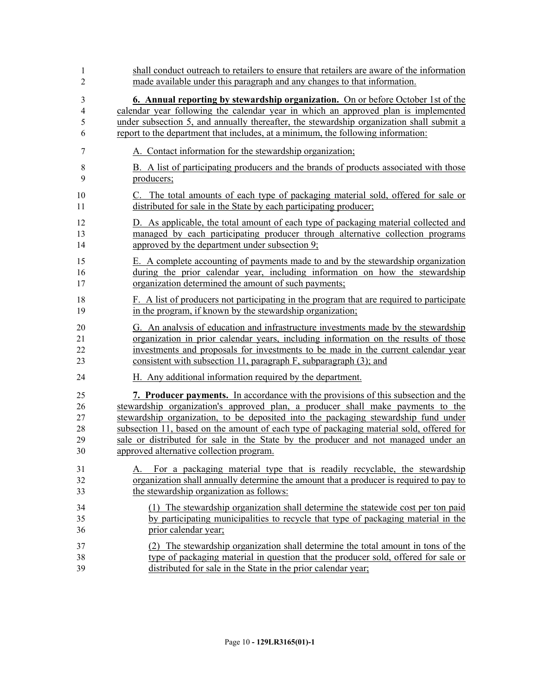| 1              | shall conduct outreach to retailers to ensure that retailers are aware of the information |
|----------------|-------------------------------------------------------------------------------------------|
| $\overline{2}$ | made available under this paragraph and any changes to that information.                  |
| 3              | <b>6. Annual reporting by stewardship organization.</b> On or before October 1st of the   |
| $\overline{4}$ | calendar year following the calendar year in which an approved plan is implemented        |
| 5              | under subsection 5, and annually thereafter, the stewardship organization shall submit a  |
| 6              | report to the department that includes, at a minimum, the following information:          |
| $\tau$         | A. Contact information for the stewardship organization;                                  |
| $8\,$          | B. A list of participating producers and the brands of products associated with those     |
| 9              | producers;                                                                                |
| 10             | C. The total amounts of each type of packaging material sold, offered for sale or         |
| 11             | distributed for sale in the State by each participating producer;                         |
| 12             | D. As applicable, the total amount of each type of packaging material collected and       |
| 13             | managed by each participating producer through alternative collection programs            |
| 14             | approved by the department under subsection 9;                                            |
| 15             | E. A complete accounting of payments made to and by the stewardship organization          |
| 16             | during the prior calendar year, including information on how the stewardship              |
| 17             | organization determined the amount of such payments;                                      |
| 18             | F. A list of producers not participating in the program that are required to participate  |
| 19             | in the program, if known by the stewardship organization;                                 |
| 20             | G. An analysis of education and infrastructure investments made by the stewardship        |
| 21             | organization in prior calendar years, including information on the results of those       |
| 22             | investments and proposals for investments to be made in the current calendar year         |
| 23             | consistent with subsection 11, paragraph F, subparagraph (3); and                         |
| 24             | H. Any additional information required by the department.                                 |
| 25             | <b>7. Producer payments.</b> In accordance with the provisions of this subsection and the |
| 26             | stewardship organization's approved plan, a producer shall make payments to the           |
| 27             | stewardship organization, to be deposited into the packaging stewardship fund under       |
| 28             | subsection 11, based on the amount of each type of packaging material sold, offered for   |
| 29             | sale or distributed for sale in the State by the producer and not managed under an        |
| 30             | approved alternative collection program.                                                  |
| 31             | For a packaging material type that is readily recyclable, the stewardship                 |
| 32             | organization shall annually determine the amount that a producer is required to pay to    |
| 33             | the stewardship organization as follows:                                                  |
| 34             | (1) The stewardship organization shall determine the statewide cost per ton paid          |
| 35             | by participating municipalities to recycle that type of packaging material in the         |
| 36             | prior calendar year;                                                                      |
| 37             | (2) The stewardship organization shall determine the total amount in tons of the          |
| 38             | type of packaging material in question that the producer sold, offered for sale or        |
| 39             | distributed for sale in the State in the prior calendar year;                             |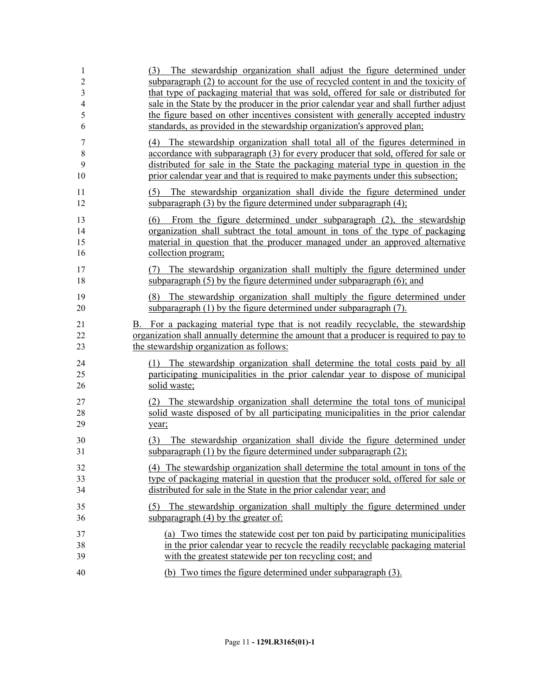| 1<br>$\overline{c}$<br>3<br>$\overline{4}$<br>5<br>6 | The stewardship organization shall adjust the figure determined under<br>(3)<br>subparagraph (2) to account for the use of recycled content in and the toxicity of<br>that type of packaging material that was sold, offered for sale or distributed for<br>sale in the State by the producer in the prior calendar year and shall further adjust<br>the figure based on other incentives consistent with generally accepted industry<br>standards, as provided in the stewardship organization's approved plan; |
|------------------------------------------------------|------------------------------------------------------------------------------------------------------------------------------------------------------------------------------------------------------------------------------------------------------------------------------------------------------------------------------------------------------------------------------------------------------------------------------------------------------------------------------------------------------------------|
| 7<br>8<br>9<br>10                                    | (4) The stewardship organization shall total all of the figures determined in<br>accordance with subparagraph (3) for every producer that sold, offered for sale or<br>distributed for sale in the State the packaging material type in question in the<br>prior calendar year and that is required to make payments under this subsection;                                                                                                                                                                      |
| 11<br>12                                             | The stewardship organization shall divide the figure determined under<br>(5)<br>subparagraph $(3)$ by the figure determined under subparagraph $(4)$ ;                                                                                                                                                                                                                                                                                                                                                           |
| 13<br>14<br>15<br>16                                 | From the figure determined under subparagraph (2), the stewardship<br>(6)<br>organization shall subtract the total amount in tons of the type of packaging<br>material in question that the producer managed under an approved alternative<br>collection program;                                                                                                                                                                                                                                                |
| 17<br>18                                             | The stewardship organization shall multiply the figure determined under<br>(7)<br>subparagraph $(5)$ by the figure determined under subparagraph $(6)$ ; and                                                                                                                                                                                                                                                                                                                                                     |
| 19<br>20                                             | The stewardship organization shall multiply the figure determined under<br>(8)<br>subparagraph (1) by the figure determined under subparagraph (7).                                                                                                                                                                                                                                                                                                                                                              |
| 21<br>22<br>23                                       | B. For a packaging material type that is not readily recyclable, the stewardship<br>organization shall annually determine the amount that a producer is required to pay to<br>the stewardship organization as follows:                                                                                                                                                                                                                                                                                           |
| 24<br>25<br>26                                       | The stewardship organization shall determine the total costs paid by all<br>(1)<br>participating municipalities in the prior calendar year to dispose of municipal<br>solid waste;                                                                                                                                                                                                                                                                                                                               |
| 27<br>28<br>29                                       | The stewardship organization shall determine the total tons of municipal<br>solid waste disposed of by all participating municipalities in the prior calendar<br>year;                                                                                                                                                                                                                                                                                                                                           |
| 30<br>31                                             | The stewardship organization shall divide the figure determined under<br>(3)<br>subparagraph $(1)$ by the figure determined under subparagraph $(2)$ ;                                                                                                                                                                                                                                                                                                                                                           |
| 32<br>33<br>34                                       | (4) The stewardship organization shall determine the total amount in tons of the<br>type of packaging material in question that the producer sold, offered for sale or<br>distributed for sale in the State in the prior calendar year; and                                                                                                                                                                                                                                                                      |
| 35<br>36                                             | (5) The stewardship organization shall multiply the figure determined under<br>subparagraph $(4)$ by the greater of:                                                                                                                                                                                                                                                                                                                                                                                             |
| 37<br>38<br>39                                       | (a) Two times the statewide cost per ton paid by participating municipalities<br>in the prior calendar year to recycle the readily recyclable packaging material<br>with the greatest statewide per ton recycling cost; and                                                                                                                                                                                                                                                                                      |
| 40                                                   | (b) Two times the figure determined under subparagraph (3).                                                                                                                                                                                                                                                                                                                                                                                                                                                      |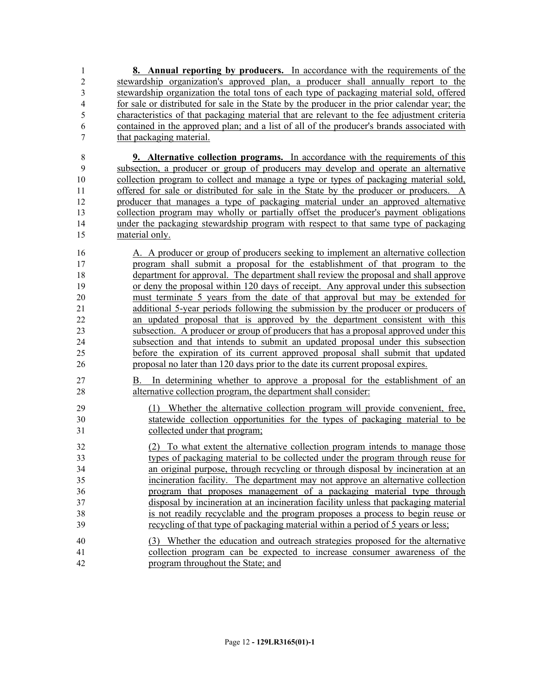**8. Annual reporting by producers.** In accordance with the requirements of the stewardship organization's approved plan, a producer shall annually report to the stewardship organization the total tons of each type of packaging material sold, offered for sale or distributed for sale in the State by the producer in the prior calendar year; the characteristics of that packaging material that are relevant to the fee adjustment criteria contained in the approved plan; and a list of all of the producer's brands associated with that packaging material.

 **9. Alternative collection programs.** In accordance with the requirements of this subsection, a producer or group of producers may develop and operate an alternative collection program to collect and manage a type or types of packaging material sold, offered for sale or distributed for sale in the State by the producer or producers. A producer that manages a type of packaging material under an approved alternative collection program may wholly or partially offset the producer's payment obligations under the packaging stewardship program with respect to that same type of packaging material only.

 A. A producer or group of producers seeking to implement an alternative collection program shall submit a proposal for the establishment of that program to the department for approval. The department shall review the proposal and shall approve or deny the proposal within 120 days of receipt. Any approval under this subsection must terminate 5 years from the date of that approval but may be extended for additional 5-year periods following the submission by the producer or producers of an updated proposal that is approved by the department consistent with this subsection. A producer or group of producers that has a proposal approved under this subsection and that intends to submit an updated proposal under this subsection before the expiration of its current approved proposal shall submit that updated proposal no later than 120 days prior to the date its current proposal expires.

- B. In determining whether to approve a proposal for the establishment of an alternative collection program, the department shall consider:
- (1) Whether the alternative collection program will provide convenient, free, statewide collection opportunities for the types of packaging material to be collected under that program;

 (2) To what extent the alternative collection program intends to manage those types of packaging material to be collected under the program through reuse for an original purpose, through recycling or through disposal by incineration at an incineration facility. The department may not approve an alternative collection program that proposes management of a packaging material type through disposal by incineration at an incineration facility unless that packaging material is not readily recyclable and the program proposes a process to begin reuse or recycling of that type of packaging material within a period of 5 years or less;

 (3) Whether the education and outreach strategies proposed for the alternative collection program can be expected to increase consumer awareness of the program throughout the State; and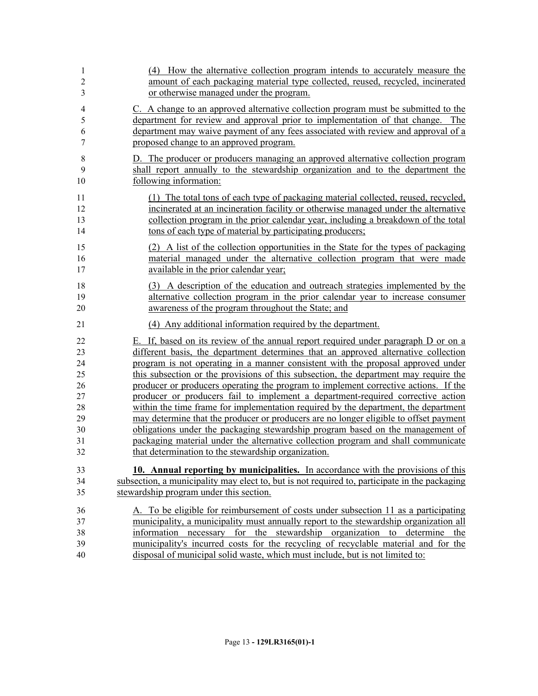| 1              | (4) How the alternative collection program intends to accurately measure the                  |
|----------------|-----------------------------------------------------------------------------------------------|
| $\overline{c}$ | amount of each packaging material type collected, reused, recycled, incinerated               |
| 3              | or otherwise managed under the program.                                                       |
| $\overline{4}$ | C. A change to an approved alternative collection program must be submitted to the            |
| 5              | department for review and approval prior to implementation of that change. The                |
| 6              | department may waive payment of any fees associated with review and approval of a             |
| 7              | proposed change to an approved program.                                                       |
| 8              | D. The producer or producers managing an approved alternative collection program              |
| 9              | shall report annually to the stewardship organization and to the department the               |
| 10             | following information:                                                                        |
| 11             | (1) The total tons of each type of packaging material collected, reused, recycled,            |
| 12             | incinerated at an incineration facility or otherwise managed under the alternative            |
| 13             | collection program in the prior calendar year, including a breakdown of the total             |
| 14             | tons of each type of material by participating producers;                                     |
| 15             | (2) A list of the collection opportunities in the State for the types of packaging            |
| 16             | material managed under the alternative collection program that were made                      |
| 17             | available in the prior calendar year;                                                         |
| 18             | (3) A description of the education and outreach strategies implemented by the                 |
| 19             | alternative collection program in the prior calendar year to increase consumer                |
| 20             | awareness of the program throughout the State; and                                            |
| 21             | (4) Any additional information required by the department.                                    |
| 22             | E. If, based on its review of the annual report required under paragraph D or on a            |
| 23             | different basis, the department determines that an approved alternative collection            |
| 24             | program is not operating in a manner consistent with the proposal approved under              |
| 25             | this subsection or the provisions of this subsection, the department may require the          |
| 26             | producer or producers operating the program to implement corrective actions. If the           |
| 27             | producer or producers fail to implement a department-required corrective action               |
| 28             | within the time frame for implementation required by the department, the department           |
| 29             | may determine that the producer or producers are no longer eligible to offset payment         |
| 30             | obligations under the packaging stewardship program based on the management of                |
| 31             | packaging material under the alternative collection program and shall communicate             |
| 32             | that determination to the stewardship organization.                                           |
| 33             | <b>10. Annual reporting by municipalities.</b> In accordance with the provisions of this      |
| 34             | subsection, a municipality may elect to, but is not required to, participate in the packaging |
| 35             | stewardship program under this section.                                                       |
| 36             | A. To be eligible for reimbursement of costs under subsection 11 as a participating           |
| 37             | municipality, a municipality must annually report to the stewardship organization all         |
| 38             | information necessary for the stewardship organization to determine the                       |
| 39             | municipality's incurred costs for the recycling of recyclable material and for the            |
| 40             | disposal of municipal solid waste, which must include, but is not limited to:                 |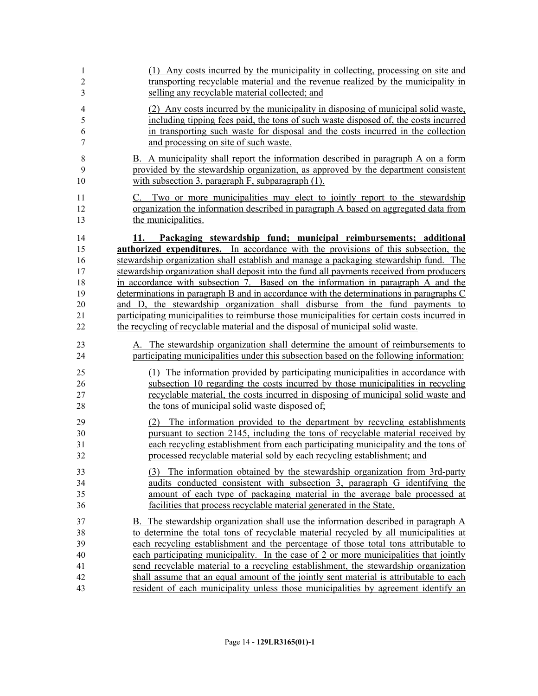| 1<br>$\overline{c}$<br>3      | (1) Any costs incurred by the municipality in collecting, processing on site and<br>transporting recyclable material and the revenue realized by the municipality in<br>selling any recyclable material collected; and                                                                                |
|-------------------------------|-------------------------------------------------------------------------------------------------------------------------------------------------------------------------------------------------------------------------------------------------------------------------------------------------------|
| $\overline{4}$<br>5<br>6<br>7 | (2) Any costs incurred by the municipality in disposing of municipal solid waste,<br>including tipping fees paid, the tons of such waste disposed of, the costs incurred<br>in transporting such waste for disposal and the costs incurred in the collection<br>and processing on site of such waste. |
| $\,8\,$<br>9<br>10            | B. A municipality shall report the information described in paragraph A on a form<br>provided by the stewardship organization, as approved by the department consistent<br>with subsection 3, paragraph $F$ , subparagraph $(1)$ .                                                                    |
| 11<br>12<br>13                | C. Two or more municipalities may elect to jointly report to the stewardship<br>organization the information described in paragraph A based on aggregated data from<br>the municipalities.                                                                                                            |
| 14                            | Packaging stewardship fund; municipal reimbursements; additional<br>11.                                                                                                                                                                                                                               |
| 15                            | <b>authorized expenditures.</b> In accordance with the provisions of this subsection, the                                                                                                                                                                                                             |
| 16                            | stewardship organization shall establish and manage a packaging stewardship fund. The                                                                                                                                                                                                                 |
| 17                            | stewardship organization shall deposit into the fund all payments received from producers                                                                                                                                                                                                             |
| 18                            | in accordance with subsection 7. Based on the information in paragraph A and the                                                                                                                                                                                                                      |
| 19                            | determinations in paragraph B and in accordance with the determinations in paragraphs C                                                                                                                                                                                                               |
| 20                            | and D, the stewardship organization shall disburse from the fund payments to                                                                                                                                                                                                                          |
| 21                            | participating municipalities to reimburse those municipalities for certain costs incurred in                                                                                                                                                                                                          |
| 22                            | the recycling of recyclable material and the disposal of municipal solid waste.                                                                                                                                                                                                                       |
| 23                            | A. The stewardship organization shall determine the amount of reimbursements to                                                                                                                                                                                                                       |
| 24                            | participating municipalities under this subsection based on the following information:                                                                                                                                                                                                                |
| 25                            | (1) The information provided by participating municipalities in accordance with                                                                                                                                                                                                                       |
| 26                            | subsection 10 regarding the costs incurred by those municipalities in recycling                                                                                                                                                                                                                       |
| 27                            | recyclable material, the costs incurred in disposing of municipal solid waste and                                                                                                                                                                                                                     |
| 28                            | the tons of municipal solid waste disposed of;                                                                                                                                                                                                                                                        |
| 29                            | The information provided to the department by recycling establishments<br>(2)                                                                                                                                                                                                                         |
| 30                            | pursuant to section 2145, including the tons of recyclable material received by                                                                                                                                                                                                                       |
| 31                            | each recycling establishment from each participating municipality and the tons of                                                                                                                                                                                                                     |
| 32                            | processed recyclable material sold by each recycling establishment; and                                                                                                                                                                                                                               |
| 33                            | (3) The information obtained by the stewardship organization from 3rd-party                                                                                                                                                                                                                           |
| 34                            | audits conducted consistent with subsection 3, paragraph G identifying the                                                                                                                                                                                                                            |
| 35                            | amount of each type of packaging material in the average bale processed at                                                                                                                                                                                                                            |
| 36                            | facilities that process recyclable material generated in the State.                                                                                                                                                                                                                                   |
| 37                            | B. The stewardship organization shall use the information described in paragraph A                                                                                                                                                                                                                    |
| 38                            | to determine the total tons of recyclable material recycled by all municipalities at                                                                                                                                                                                                                  |
| 39                            | each recycling establishment and the percentage of those total tons attributable to                                                                                                                                                                                                                   |
| 40                            | each participating municipality. In the case of 2 or more municipalities that jointly                                                                                                                                                                                                                 |
| 41                            | send recyclable material to a recycling establishment, the stewardship organization                                                                                                                                                                                                                   |
| 42                            | shall assume that an equal amount of the jointly sent material is attributable to each                                                                                                                                                                                                                |
| 43                            | resident of each municipality unless those municipalities by agreement identify an                                                                                                                                                                                                                    |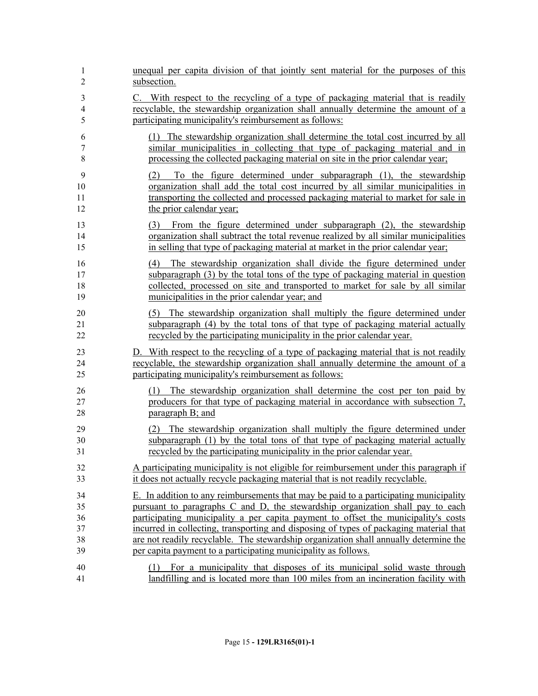| 1                    | unequal per capita division of that jointly sent material for the purposes of this                                                                                                                                                                                                                   |
|----------------------|------------------------------------------------------------------------------------------------------------------------------------------------------------------------------------------------------------------------------------------------------------------------------------------------------|
| $\overline{2}$       | subsection.                                                                                                                                                                                                                                                                                          |
| 3                    | C. With respect to the recycling of a type of packaging material that is readily                                                                                                                                                                                                                     |
| 4                    | recyclable, the stewardship organization shall annually determine the amount of a                                                                                                                                                                                                                    |
| 5                    | participating municipality's reimbursement as follows:                                                                                                                                                                                                                                               |
| 6                    | (1) The stewardship organization shall determine the total cost incurred by all                                                                                                                                                                                                                      |
| $\tau$               | similar municipalities in collecting that type of packaging material and in                                                                                                                                                                                                                          |
| 8                    | processing the collected packaging material on site in the prior calendar year;                                                                                                                                                                                                                      |
| 9<br>10<br>11<br>12  | To the figure determined under subparagraph (1), the stewardship<br>(2)<br>organization shall add the total cost incurred by all similar municipalities in<br>transporting the collected and processed packaging material to market for sale in<br>the prior calendar year;                          |
| 13                   | (3) From the figure determined under subparagraph (2), the stewardship                                                                                                                                                                                                                               |
| 14                   | organization shall subtract the total revenue realized by all similar municipalities                                                                                                                                                                                                                 |
| 15                   | in selling that type of packaging material at market in the prior calendar year;                                                                                                                                                                                                                     |
| 16<br>17<br>18<br>19 | The stewardship organization shall divide the figure determined under<br>(4)<br>subparagraph (3) by the total tons of the type of packaging material in question<br>collected, processed on site and transported to market for sale by all similar<br>municipalities in the prior calendar year; and |
| 20                   | (5) The stewardship organization shall multiply the figure determined under                                                                                                                                                                                                                          |
| 21                   | subparagraph (4) by the total tons of that type of packaging material actually                                                                                                                                                                                                                       |
| 22                   | recycled by the participating municipality in the prior calendar year.                                                                                                                                                                                                                               |
| 23                   | D. With respect to the recycling of a type of packaging material that is not readily                                                                                                                                                                                                                 |
| 24                   | recyclable, the stewardship organization shall annually determine the amount of a                                                                                                                                                                                                                    |
| 25                   | participating municipality's reimbursement as follows:                                                                                                                                                                                                                                               |
| 26<br>27<br>28       | The stewardship organization shall determine the cost per ton paid by<br>(1)<br>producers for that type of packaging material in accordance with subsection 7,<br>paragraph B; and                                                                                                                   |
| 29                   | (2) The stewardship organization shall multiply the figure determined under                                                                                                                                                                                                                          |
| 30                   | subparagraph (1) by the total tons of that type of packaging material actually                                                                                                                                                                                                                       |
| 31                   | recycled by the participating municipality in the prior calendar year.                                                                                                                                                                                                                               |
| 32                   | A participating municipality is not eligible for reimbursement under this paragraph if                                                                                                                                                                                                               |
| 33                   | it does not actually recycle packaging material that is not readily recyclable.                                                                                                                                                                                                                      |
| 34                   | E. In addition to any reimbursements that may be paid to a participating municipality                                                                                                                                                                                                                |
| 35                   | pursuant to paragraphs C and D, the stewardship organization shall pay to each                                                                                                                                                                                                                       |
| 36                   | participating municipality a per capita payment to offset the municipality's costs                                                                                                                                                                                                                   |
| 37                   | incurred in collecting, transporting and disposing of types of packaging material that                                                                                                                                                                                                               |
| 38                   | are not readily recyclable. The stewardship organization shall annually determine the                                                                                                                                                                                                                |
| 39                   | per capita payment to a participating municipality as follows.                                                                                                                                                                                                                                       |
| 40<br>41             | For a municipality that disposes of its municipal solid waste through<br>(1)<br>landfilling and is located more than 100 miles from an incineration facility with                                                                                                                                    |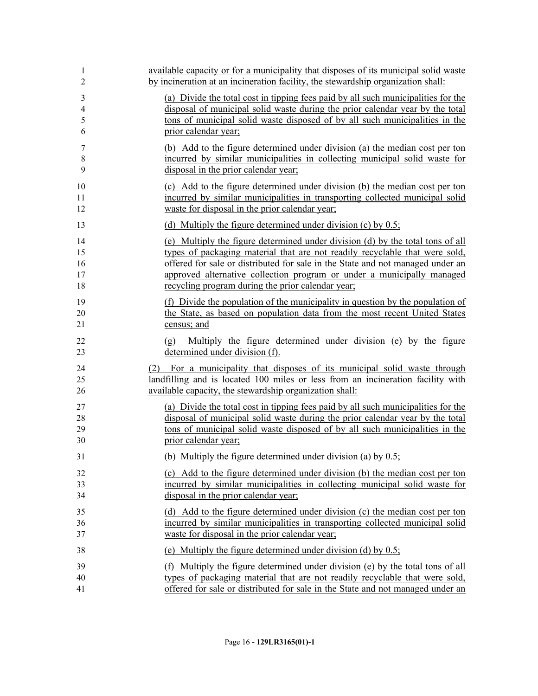| 1              | available capacity or for a municipality that disposes of its municipal solid waste                      |
|----------------|----------------------------------------------------------------------------------------------------------|
| 2              | by incineration at an incineration facility, the stewardship organization shall:                         |
| 3              | (a) Divide the total cost in tipping fees paid by all such municipalities for the                        |
| $\overline{4}$ | disposal of municipal solid waste during the prior calendar year by the total                            |
| 5              | tons of municipal solid waste disposed of by all such municipalities in the                              |
| 6              | prior calendar year;                                                                                     |
| 7              | (b) Add to the figure determined under division (a) the median cost per ton                              |
| 8              | incurred by similar municipalities in collecting municipal solid waste for                               |
| 9              | disposal in the prior calendar year;                                                                     |
| 10             | (c) Add to the figure determined under division (b) the median cost per ton                              |
| 11             | incurred by similar municipalities in transporting collected municipal solid                             |
| 12             | waste for disposal in the prior calendar year;                                                           |
| 13             | (d) Multiply the figure determined under division (c) by $0.5$ ;                                         |
| 14             | (e) Multiply the figure determined under division (d) by the total tons of all                           |
| 15             | types of packaging material that are not readily recyclable that were sold,                              |
| 16             | offered for sale or distributed for sale in the State and not managed under an                           |
| 17             | approved alternative collection program or under a municipally managed                                   |
| 18             | recycling program during the prior calendar year;                                                        |
| 19             | (f) Divide the population of the municipality in question by the population of                           |
| 20             | the State, as based on population data from the most recent United States                                |
| 21             | census; and                                                                                              |
| 22<br>23       | Multiply the figure determined under division (e) by the figure<br>(g)<br>determined under division (f). |
| 24             | (2) For a municipality that disposes of its municipal solid waste through                                |
| 25             | landfilling and is located 100 miles or less from an incineration facility with                          |
| 26             | available capacity, the stewardship organization shall:                                                  |
| 27             | (a) Divide the total cost in tipping fees paid by all such municipalities for the                        |
| 28             | disposal of municipal solid waste during the prior calendar year by the total                            |
| 29             | tons of municipal solid waste disposed of by all such municipalities in the                              |
| 30             | prior calendar year;                                                                                     |
| 31             | (b) Multiply the figure determined under division (a) by $0.5$ ;                                         |
| 32             | (c) Add to the figure determined under division (b) the median cost per ton                              |
| 33             | incurred by similar municipalities in collecting municipal solid waste for                               |
| 34             | disposal in the prior calendar year;                                                                     |
| 35             | (d) Add to the figure determined under division (c) the median cost per ton                              |
| 36             | incurred by similar municipalities in transporting collected municipal solid                             |
| 37             | waste for disposal in the prior calendar year;                                                           |
| 38             | (e) Multiply the figure determined under division (d) by $0.5$ ;                                         |
| 39             | (f) Multiply the figure determined under division (e) by the total tons of all                           |
| 40             | types of packaging material that are not readily recyclable that were sold,                              |
| 41             | offered for sale or distributed for sale in the State and not managed under an                           |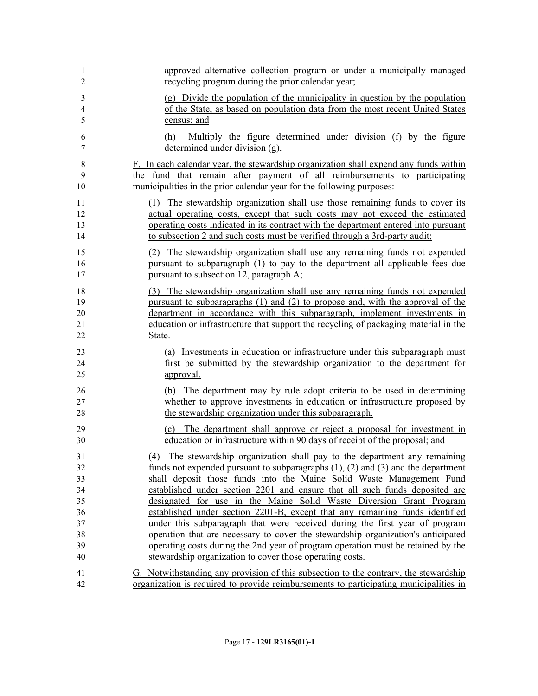| 1<br>2                     | approved alternative collection program or under a municipally managed<br>recycling program during the prior calendar year;                                                                                                                                                                                                                 |
|----------------------------|---------------------------------------------------------------------------------------------------------------------------------------------------------------------------------------------------------------------------------------------------------------------------------------------------------------------------------------------|
| 3<br>4<br>5                | (g) Divide the population of the municipality in question by the population<br>of the State, as based on population data from the most recent United States<br>census; and                                                                                                                                                                  |
| 6<br>7                     | Multiply the figure determined under division (f) by the figure<br>(h)<br>determined under division (g).                                                                                                                                                                                                                                    |
| 8<br>9<br>10               | F. In each calendar year, the stewardship organization shall expend any funds within<br>the fund that remain after payment of all reimbursements to participating<br>municipalities in the prior calendar year for the following purposes:                                                                                                  |
| 11<br>12<br>13<br>14       | (1) The stewardship organization shall use those remaining funds to cover its<br>actual operating costs, except that such costs may not exceed the estimated<br>operating costs indicated in its contract with the department entered into pursuant<br>to subsection 2 and such costs must be verified through a 3rd-party audit;           |
| 15<br>16<br>17             | The stewardship organization shall use any remaining funds not expended<br>(2)<br>pursuant to subparagraph (1) to pay to the department all applicable fees due<br>pursuant to subsection 12, paragraph A;                                                                                                                                  |
| 18<br>19<br>20<br>21<br>22 | (3) The stewardship organization shall use any remaining funds not expended<br>pursuant to subparagraphs (1) and (2) to propose and, with the approval of the<br>department in accordance with this subparagraph, implement investments in<br>education or infrastructure that support the recycling of packaging material in the<br>State. |
| 23<br>24<br>25             | (a) Investments in education or infrastructure under this subparagraph must<br>first be submitted by the stewardship organization to the department for<br>approval.                                                                                                                                                                        |
| 26<br>27<br>28             | (b) The department may by rule adopt criteria to be used in determining<br>whether to approve investments in education or infrastructure proposed by<br>the stewardship organization under this subparagraph.                                                                                                                               |
| 29<br>30                   | (c) The department shall approve or reject a proposal for investment in<br>education or infrastructure within 90 days of receipt of the proposal; and                                                                                                                                                                                       |
| 31                         | (4) The stewardship organization shall pay to the department any remaining                                                                                                                                                                                                                                                                  |
| 32                         | funds not expended pursuant to subparagraphs $(1)$ , $(2)$ and $(3)$ and the department                                                                                                                                                                                                                                                     |
| 33                         | shall deposit those funds into the Maine Solid Waste Management Fund                                                                                                                                                                                                                                                                        |
| 34<br>35                   | established under section 2201 and ensure that all such funds deposited are<br>designated for use in the Maine Solid Waste Diversion Grant Program                                                                                                                                                                                          |
| 36                         | established under section 2201-B, except that any remaining funds identified                                                                                                                                                                                                                                                                |
| 37                         | under this subparagraph that were received during the first year of program                                                                                                                                                                                                                                                                 |
| 38                         | operation that are necessary to cover the stewardship organization's anticipated                                                                                                                                                                                                                                                            |
| 39                         | operating costs during the 2nd year of program operation must be retained by the                                                                                                                                                                                                                                                            |
| 40                         | stewardship organization to cover those operating costs.                                                                                                                                                                                                                                                                                    |
| 41                         | G. Notwithstanding any provision of this subsection to the contrary, the stewardship                                                                                                                                                                                                                                                        |
| 42                         | organization is required to provide reimbursements to participating municipalities in                                                                                                                                                                                                                                                       |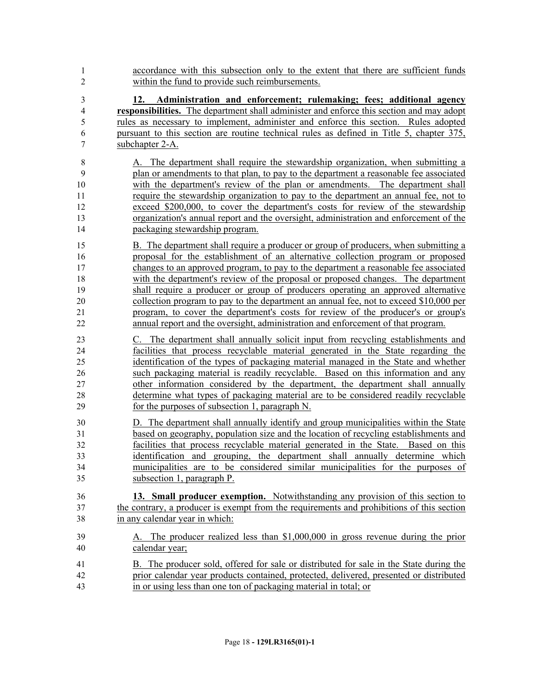- accordance with this subsection only to the extent that there are sufficient funds within the fund to provide such reimbursements.
- **12. Administration and enforcement; rulemaking; fees; additional agency responsibilities.** The department shall administer and enforce this section and may adopt rules as necessary to implement, administer and enforce this section. Rules adopted pursuant to this section are routine technical rules as defined in Title 5, chapter 375, subchapter 2-A.
- A. The department shall require the stewardship organization, when submitting a plan or amendments to that plan, to pay to the department a reasonable fee associated with the department's review of the plan or amendments. The department shall require the stewardship organization to pay to the department an annual fee, not to exceed \$200,000, to cover the department's costs for review of the stewardship organization's annual report and the oversight, administration and enforcement of the packaging stewardship program.
- B. The department shall require a producer or group of producers, when submitting a proposal for the establishment of an alternative collection program or proposed changes to an approved program, to pay to the department a reasonable fee associated with the department's review of the proposal or proposed changes. The department shall require a producer or group of producers operating an approved alternative collection program to pay to the department an annual fee, not to exceed \$10,000 per program, to cover the department's costs for review of the producer's or group's annual report and the oversight, administration and enforcement of that program.
- C. The department shall annually solicit input from recycling establishments and facilities that process recyclable material generated in the State regarding the identification of the types of packaging material managed in the State and whether such packaging material is readily recyclable. Based on this information and any other information considered by the department, the department shall annually determine what types of packaging material are to be considered readily recyclable for the purposes of subsection 1, paragraph N.
- D. The department shall annually identify and group municipalities within the State based on geography, population size and the location of recycling establishments and facilities that process recyclable material generated in the State. Based on this identification and grouping, the department shall annually determine which municipalities are to be considered similar municipalities for the purposes of subsection 1, paragraph P.
- **13. Small producer exemption.** Notwithstanding any provision of this section to the contrary, a producer is exempt from the requirements and prohibitions of this section in any calendar year in which:
- A. The producer realized less than \$1,000,000 in gross revenue during the prior calendar year;
- B. The producer sold, offered for sale or distributed for sale in the State during the prior calendar year products contained, protected, delivered, presented or distributed in or using less than one ton of packaging material in total; or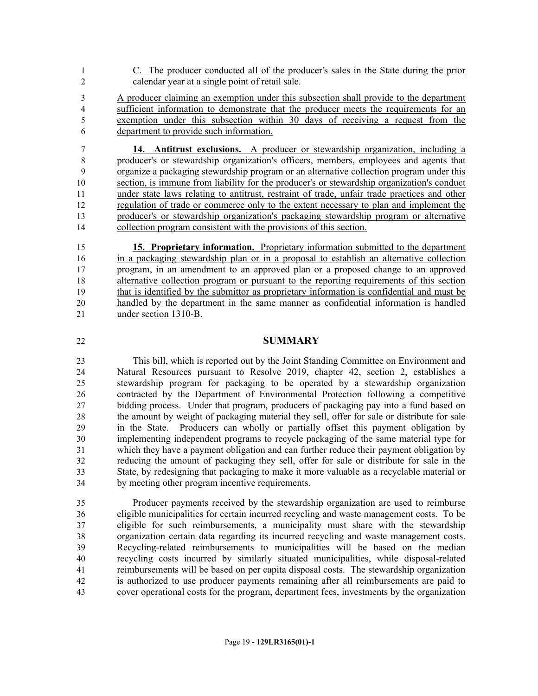- C. The producer conducted all of the producer's sales in the State during the prior calendar year at a single point of retail sale.
- A producer claiming an exemption under this subsection shall provide to the department sufficient information to demonstrate that the producer meets the requirements for an exemption under this subsection within 30 days of receiving a request from the department to provide such information.

 **14. Antitrust exclusions.** A producer or stewardship organization, including a producer's or stewardship organization's officers, members, employees and agents that organize a packaging stewardship program or an alternative collection program under this section, is immune from liability for the producer's or stewardship organization's conduct under state laws relating to antitrust, restraint of trade, unfair trade practices and other regulation of trade or commerce only to the extent necessary to plan and implement the producer's or stewardship organization's packaging stewardship program or alternative collection program consistent with the provisions of this section.

 **15. Proprietary information.** Proprietary information submitted to the department in a packaging stewardship plan or in a proposal to establish an alternative collection program, in an amendment to an approved plan or a proposed change to an approved alternative collection program or pursuant to the reporting requirements of this section that is identified by the submittor as proprietary information is confidential and must be handled by the department in the same manner as confidential information is handled under section 1310-B.

## **SUMMARY**

 This bill, which is reported out by the Joint Standing Committee on Environment and Natural Resources pursuant to Resolve 2019, chapter 42, section 2, establishes a stewardship program for packaging to be operated by a stewardship organization contracted by the Department of Environmental Protection following a competitive bidding process. Under that program, producers of packaging pay into a fund based on the amount by weight of packaging material they sell, offer for sale or distribute for sale in the State. Producers can wholly or partially offset this payment obligation by implementing independent programs to recycle packaging of the same material type for which they have a payment obligation and can further reduce their payment obligation by reducing the amount of packaging they sell, offer for sale or distribute for sale in the State, by redesigning that packaging to make it more valuable as a recyclable material or by meeting other program incentive requirements.

 Producer payments received by the stewardship organization are used to reimburse eligible municipalities for certain incurred recycling and waste management costs. To be eligible for such reimbursements, a municipality must share with the stewardship organization certain data regarding its incurred recycling and waste management costs. Recycling-related reimbursements to municipalities will be based on the median recycling costs incurred by similarly situated municipalities, while disposal-related reimbursements will be based on per capita disposal costs. The stewardship organization is authorized to use producer payments remaining after all reimbursements are paid to cover operational costs for the program, department fees, investments by the organization